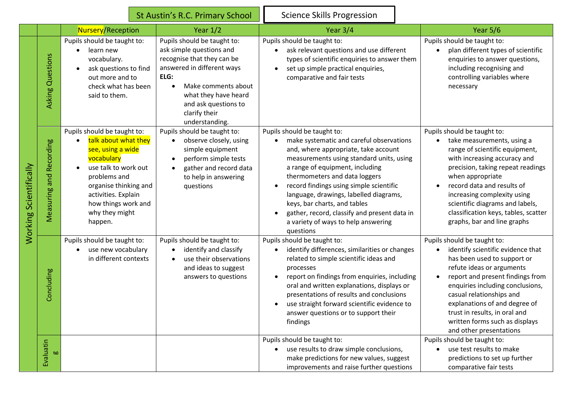|                        |                         |                                                                                                                                                                                                                                    | St Austin's R.C. Primary School                                                                                                                                                                                                       | <b>Science Skills Progression</b>                                                                                                                                                                                                                                                                                                                                                                                                                        |                                                                                                                                                                                                                                                                                                                                                                 |
|------------------------|-------------------------|------------------------------------------------------------------------------------------------------------------------------------------------------------------------------------------------------------------------------------|---------------------------------------------------------------------------------------------------------------------------------------------------------------------------------------------------------------------------------------|----------------------------------------------------------------------------------------------------------------------------------------------------------------------------------------------------------------------------------------------------------------------------------------------------------------------------------------------------------------------------------------------------------------------------------------------------------|-----------------------------------------------------------------------------------------------------------------------------------------------------------------------------------------------------------------------------------------------------------------------------------------------------------------------------------------------------------------|
|                        |                         | <b>Nursery/Reception</b>                                                                                                                                                                                                           | Year $1/2$                                                                                                                                                                                                                            | Year $3/4$                                                                                                                                                                                                                                                                                                                                                                                                                                               | Year $5/6$                                                                                                                                                                                                                                                                                                                                                      |
| Working Scientifically | Asking Questions        | Pupils should be taught to:<br>learn new<br>vocabulary.<br>ask questions to find<br>out more and to<br>check what has been<br>said to them.                                                                                        | Pupils should be taught to:<br>ask simple questions and<br>recognise that they can be<br>answered in different ways<br>ELG:<br>Make comments about<br>what they have heard<br>and ask questions to<br>clarify their<br>understanding. | Pupils should be taught to:<br>ask relevant questions and use different<br>types of scientific enquiries to answer them<br>set up simple practical enquiries,<br>comparative and fair tests                                                                                                                                                                                                                                                              | Pupils should be taught to:<br>plan different types of scientific<br>enquiries to answer questions,<br>including recognising and<br>controlling variables where<br>necessary                                                                                                                                                                                    |
|                        | Measuring and Recording | Pupils should be taught to:<br>talk about what they<br>see, using a wide<br>vocabulary<br>use talk to work out<br>problems and<br>organise thinking and<br>activities. Explain<br>how things work and<br>why they might<br>happen. | Pupils should be taught to:<br>observe closely, using<br>simple equipment<br>perform simple tests<br>gather and record data<br>to help in answering<br>questions                                                                      | Pupils should be taught to:<br>make systematic and careful observations<br>and, where appropriate, take account<br>measurements using standard units, using<br>a range of equipment, including<br>thermometers and data loggers<br>record findings using simple scientific<br>language, drawings, labelled diagrams,<br>keys, bar charts, and tables<br>gather, record, classify and present data in<br>a variety of ways to help answering<br>questions | Pupils should be taught to:<br>take measurements, using a<br>range of scientific equipment,<br>with increasing accuracy and<br>precision, taking repeat readings<br>when appropriate<br>record data and results of<br>increasing complexity using<br>scientific diagrams and labels,<br>classification keys, tables, scatter<br>graphs, bar and line graphs     |
|                        | Concluding              | Pupils should be taught to:<br>use new vocabulary<br>in different contexts                                                                                                                                                         | Pupils should be taught to:<br>identify and classify<br>use their observations<br>and ideas to suggest<br>answers to questions                                                                                                        | Pupils should be taught to:<br>identify differences, similarities or changes<br>related to simple scientific ideas and<br>processes<br>report on findings from enquiries, including<br>oral and written explanations, displays or<br>presentations of results and conclusions<br>use straight forward scientific evidence to<br>answer questions or to support their<br>findings                                                                         | Pupils should be taught to:<br>identify scientific evidence that<br>has been used to support or<br>refute ideas or arguments<br>report and present findings from<br>enquiries including conclusions,<br>casual relationships and<br>explanations of and degree of<br>trust in results, in oral and<br>written forms such as displays<br>and other presentations |
|                        | Evaluatin<br><b>bo</b>  |                                                                                                                                                                                                                                    |                                                                                                                                                                                                                                       | Pupils should be taught to:<br>use results to draw simple conclusions,<br>make predictions for new values, suggest<br>improvements and raise further questions                                                                                                                                                                                                                                                                                           | Pupils should be taught to:<br>use test results to make<br>predictions to set up further<br>comparative fair tests                                                                                                                                                                                                                                              |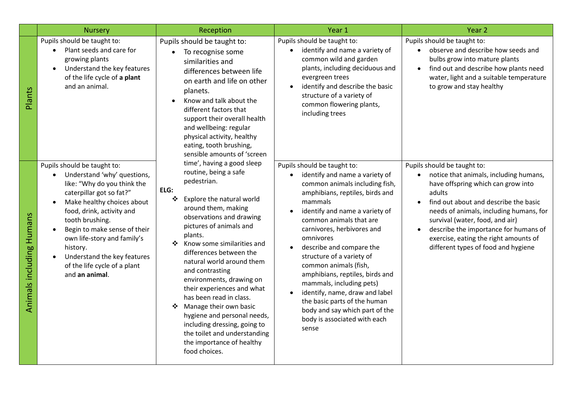|                          | <b>Nursery</b>                                                                                                                                                                                                                                                                                                                                                                                         | Reception                                                                                                                                                                                                                                                                                                                                                                                                                                                                                                                                                                       | Year 1                                                                                                                                                                                                                                                                                                                                                                                                                                                                                                                                              | Year <sub>2</sub>                                                                                                                                                                                                                                                                                                                                                     |
|--------------------------|--------------------------------------------------------------------------------------------------------------------------------------------------------------------------------------------------------------------------------------------------------------------------------------------------------------------------------------------------------------------------------------------------------|---------------------------------------------------------------------------------------------------------------------------------------------------------------------------------------------------------------------------------------------------------------------------------------------------------------------------------------------------------------------------------------------------------------------------------------------------------------------------------------------------------------------------------------------------------------------------------|-----------------------------------------------------------------------------------------------------------------------------------------------------------------------------------------------------------------------------------------------------------------------------------------------------------------------------------------------------------------------------------------------------------------------------------------------------------------------------------------------------------------------------------------------------|-----------------------------------------------------------------------------------------------------------------------------------------------------------------------------------------------------------------------------------------------------------------------------------------------------------------------------------------------------------------------|
| Plants                   | Pupils should be taught to:<br>Plant seeds and care for<br>$\bullet$<br>growing plants<br>Understand the key features<br>$\bullet$<br>of the life cycle of a plant<br>and an animal.                                                                                                                                                                                                                   | Pupils should be taught to:<br>To recognise some<br>similarities and<br>differences between life<br>on earth and life on other<br>planets.<br>Know and talk about the<br>different factors that<br>support their overall health<br>and wellbeing: regular<br>physical activity, healthy<br>eating, tooth brushing,<br>sensible amounts of 'screen                                                                                                                                                                                                                               | Pupils should be taught to:<br>identify and name a variety of<br>common wild and garden<br>plants, including deciduous and<br>evergreen trees<br>identify and describe the basic<br>structure of a variety of<br>common flowering plants,<br>including trees                                                                                                                                                                                                                                                                                        | Pupils should be taught to:<br>observe and describe how seeds and<br>bulbs grow into mature plants<br>find out and describe how plants need<br>water, light and a suitable temperature<br>to grow and stay healthy                                                                                                                                                    |
| Animals including Humans | Pupils should be taught to:<br>Understand 'why' questions,<br>$\bullet$<br>like: "Why do you think the<br>caterpillar got so fat?"<br>Make healthy choices about<br>$\bullet$<br>food, drink, activity and<br>tooth brushing.<br>Begin to make sense of their<br>$\bullet$<br>own life-story and family's<br>history.<br>Understand the key features<br>of the life cycle of a plant<br>and an animal. | time', having a good sleep<br>routine, being a safe<br>pedestrian.<br>ELG:<br>Explore the natural world<br>❖<br>around them, making<br>observations and drawing<br>pictures of animals and<br>plants.<br>Know some similarities and<br>differences between the<br>natural world around them<br>and contrasting<br>environments, drawing on<br>their experiences and what<br>has been read in class.<br>Manage their own basic<br>❖<br>hygiene and personal needs,<br>including dressing, going to<br>the toilet and understanding<br>the importance of healthy<br>food choices. | Pupils should be taught to:<br>identify and name a variety of<br>common animals including fish,<br>amphibians, reptiles, birds and<br>mammals<br>identify and name a variety of<br>common animals that are<br>carnivores, herbivores and<br>omnivores<br>describe and compare the<br>structure of a variety of<br>common animals (fish,<br>amphibians, reptiles, birds and<br>mammals, including pets)<br>identify, name, draw and label<br>the basic parts of the human<br>body and say which part of the<br>body is associated with each<br>sense | Pupils should be taught to:<br>notice that animals, including humans,<br>have offspring which can grow into<br>adults<br>find out about and describe the basic<br>needs of animals, including humans, for<br>survival (water, food, and air)<br>describe the importance for humans of<br>exercise, eating the right amounts of<br>different types of food and hygiene |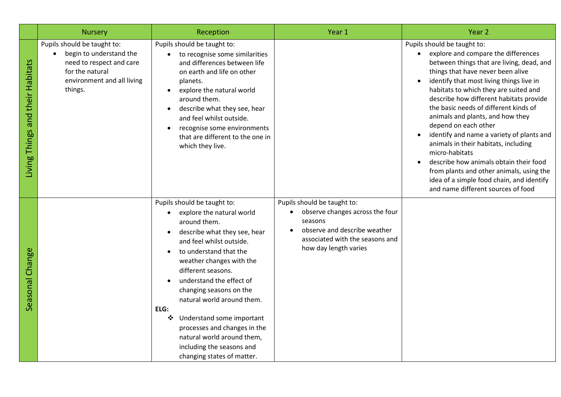|                                        | <b>Nursery</b>                                                                                                                                 | Reception                                                                                                                                                                                                                                                                                                                                                                                                                                                                | Year 1                                                                                                                                                                | Year 2                                                                                                                                                                                                                                                                                                                                                                                                                                                                                                                                                                                                                                                                    |
|----------------------------------------|------------------------------------------------------------------------------------------------------------------------------------------------|--------------------------------------------------------------------------------------------------------------------------------------------------------------------------------------------------------------------------------------------------------------------------------------------------------------------------------------------------------------------------------------------------------------------------------------------------------------------------|-----------------------------------------------------------------------------------------------------------------------------------------------------------------------|---------------------------------------------------------------------------------------------------------------------------------------------------------------------------------------------------------------------------------------------------------------------------------------------------------------------------------------------------------------------------------------------------------------------------------------------------------------------------------------------------------------------------------------------------------------------------------------------------------------------------------------------------------------------------|
| and their Habitats<br>Things<br>Living | Pupils should be taught to:<br>begin to understand the<br>need to respect and care<br>for the natural<br>environment and all living<br>things. | Pupils should be taught to:<br>to recognise some similarities<br>and differences between life<br>on earth and life on other<br>planets.<br>explore the natural world<br>$\bullet$<br>around them.<br>describe what they see, hear<br>٠<br>and feel whilst outside.<br>recognise some environments<br>that are different to the one in<br>which they live.                                                                                                                |                                                                                                                                                                       | Pupils should be taught to:<br>explore and compare the differences<br>between things that are living, dead, and<br>things that have never been alive<br>identify that most living things live in<br>habitats to which they are suited and<br>describe how different habitats provide<br>the basic needs of different kinds of<br>animals and plants, and how they<br>depend on each other<br>identify and name a variety of plants and<br>animals in their habitats, including<br>micro-habitats<br>describe how animals obtain their food<br>from plants and other animals, using the<br>idea of a simple food chain, and identify<br>and name different sources of food |
| Change<br>Seasonal                     |                                                                                                                                                | Pupils should be taught to:<br>explore the natural world<br>around them.<br>describe what they see, hear<br>and feel whilst outside.<br>to understand that the<br>weather changes with the<br>different seasons.<br>understand the effect of<br>changing seasons on the<br>natural world around them.<br>ELG:<br>❖<br>Understand some important<br>processes and changes in the<br>natural world around them,<br>including the seasons and<br>changing states of matter. | Pupils should be taught to:<br>observe changes across the four<br>seasons<br>observe and describe weather<br>associated with the seasons and<br>how day length varies |                                                                                                                                                                                                                                                                                                                                                                                                                                                                                                                                                                                                                                                                           |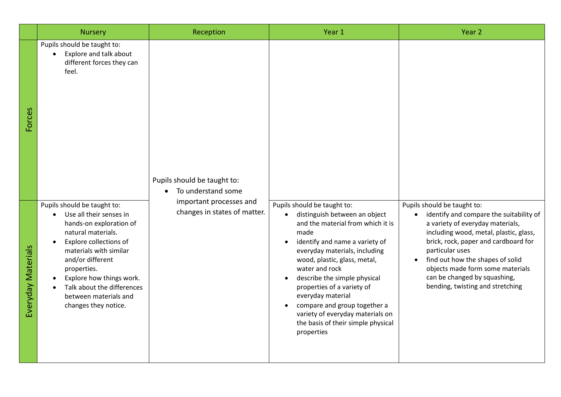|                    | <b>Nursery</b>                                                                                                                                                                                                                                                                                            | Reception                                               | Year 1                                                                                                                                                                                                                                                                                                                                                                                                                                    | Year 2                                                                                                                                                                                                                                                                                                                                                                   |
|--------------------|-----------------------------------------------------------------------------------------------------------------------------------------------------------------------------------------------------------------------------------------------------------------------------------------------------------|---------------------------------------------------------|-------------------------------------------------------------------------------------------------------------------------------------------------------------------------------------------------------------------------------------------------------------------------------------------------------------------------------------------------------------------------------------------------------------------------------------------|--------------------------------------------------------------------------------------------------------------------------------------------------------------------------------------------------------------------------------------------------------------------------------------------------------------------------------------------------------------------------|
| <b>Forces</b>      | Pupils should be taught to:<br>Explore and talk about<br>$\bullet$<br>different forces they can<br>feel.                                                                                                                                                                                                  | Pupils should be taught to:<br>To understand some       |                                                                                                                                                                                                                                                                                                                                                                                                                                           |                                                                                                                                                                                                                                                                                                                                                                          |
| Everyday Materials | Pupils should be taught to:<br>Use all their senses in<br>hands-on exploration of<br>natural materials.<br>Explore collections of<br>materials with similar<br>and/or different<br>properties.<br>Explore how things work.<br>Talk about the differences<br>between materials and<br>changes they notice. | important processes and<br>changes in states of matter. | Pupils should be taught to:<br>distinguish between an object<br>and the material from which it is<br>made<br>identify and name a variety of<br>everyday materials, including<br>wood, plastic, glass, metal,<br>water and rock<br>describe the simple physical<br>properties of a variety of<br>everyday material<br>compare and group together a<br>variety of everyday materials on<br>the basis of their simple physical<br>properties | Pupils should be taught to:<br>identify and compare the suitability of<br>$\bullet$<br>a variety of everyday materials,<br>including wood, metal, plastic, glass,<br>brick, rock, paper and cardboard for<br>particular uses<br>find out how the shapes of solid<br>objects made form some materials<br>can be changed by squashing,<br>bending, twisting and stretching |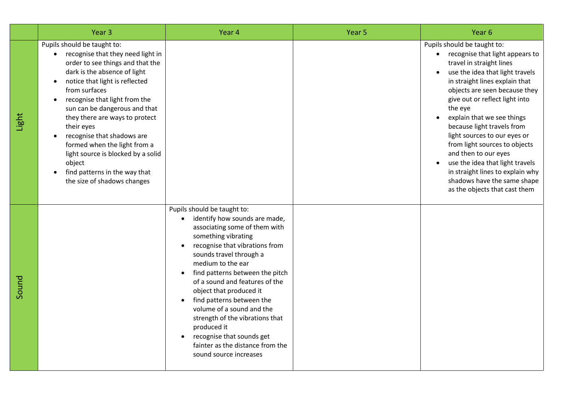|       | Year <sub>3</sub>                                                                                                                                                                                                                                                                                                                                                                                                                                                                                    | Year 4                                                                                                                                                                                                                                                                                                                                                                                                                                                                                                        | Year <sub>5</sub> | Year <sub>6</sub>                                                                                                                                                                                                                                                                                                                                                                                                                                                                                                                                      |
|-------|------------------------------------------------------------------------------------------------------------------------------------------------------------------------------------------------------------------------------------------------------------------------------------------------------------------------------------------------------------------------------------------------------------------------------------------------------------------------------------------------------|---------------------------------------------------------------------------------------------------------------------------------------------------------------------------------------------------------------------------------------------------------------------------------------------------------------------------------------------------------------------------------------------------------------------------------------------------------------------------------------------------------------|-------------------|--------------------------------------------------------------------------------------------------------------------------------------------------------------------------------------------------------------------------------------------------------------------------------------------------------------------------------------------------------------------------------------------------------------------------------------------------------------------------------------------------------------------------------------------------------|
| Light | Pupils should be taught to:<br>recognise that they need light in<br>$\bullet$<br>order to see things and that the<br>dark is the absence of light<br>notice that light is reflected<br>from surfaces<br>recognise that light from the<br>sun can be dangerous and that<br>they there are ways to protect<br>their eyes<br>recognise that shadows are<br>formed when the light from a<br>light source is blocked by a solid<br>object<br>find patterns in the way that<br>the size of shadows changes |                                                                                                                                                                                                                                                                                                                                                                                                                                                                                                               |                   | Pupils should be taught to:<br>recognise that light appears to<br>$\bullet$<br>travel in straight lines<br>use the idea that light travels<br>in straight lines explain that<br>objects are seen because they<br>give out or reflect light into<br>the eye<br>explain that we see things<br>because light travels from<br>light sources to our eyes or<br>from light sources to objects<br>and then to our eyes<br>use the idea that light travels<br>in straight lines to explain why<br>shadows have the same shape<br>as the objects that cast them |
| Sound |                                                                                                                                                                                                                                                                                                                                                                                                                                                                                                      | Pupils should be taught to:<br>identify how sounds are made,<br>associating some of them with<br>something vibrating<br>recognise that vibrations from<br>sounds travel through a<br>medium to the ear<br>find patterns between the pitch<br>of a sound and features of the<br>object that produced it<br>find patterns between the<br>volume of a sound and the<br>strength of the vibrations that<br>produced it<br>recognise that sounds get<br>fainter as the distance from the<br>sound source increases |                   |                                                                                                                                                                                                                                                                                                                                                                                                                                                                                                                                                        |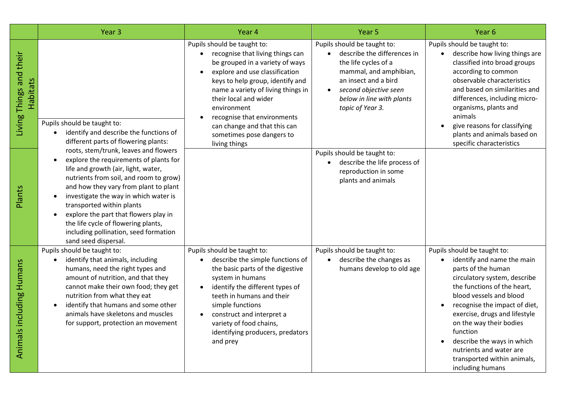|                                     | Year <sub>3</sub>                                                                                                                                                                                                                                                                                                                                                                                                                | Year 4                                                                                                                                                                                                                                                                                                                                                                                        | Year 5                                                                                                                                                                                                                                   | Year <sub>6</sub>                                                                                                                                                                                                                                                                                                                                                                              |
|-------------------------------------|----------------------------------------------------------------------------------------------------------------------------------------------------------------------------------------------------------------------------------------------------------------------------------------------------------------------------------------------------------------------------------------------------------------------------------|-----------------------------------------------------------------------------------------------------------------------------------------------------------------------------------------------------------------------------------------------------------------------------------------------------------------------------------------------------------------------------------------------|------------------------------------------------------------------------------------------------------------------------------------------------------------------------------------------------------------------------------------------|------------------------------------------------------------------------------------------------------------------------------------------------------------------------------------------------------------------------------------------------------------------------------------------------------------------------------------------------------------------------------------------------|
| Living Things and their<br>Habitats | Pupils should be taught to:<br>identify and describe the functions of<br>different parts of flowering plants:                                                                                                                                                                                                                                                                                                                    | Pupils should be taught to:<br>recognise that living things can<br>$\bullet$<br>be grouped in a variety of ways<br>explore and use classification<br>$\bullet$<br>keys to help group, identify and<br>name a variety of living things in<br>their local and wider<br>environment<br>recognise that environments<br>can change and that this can<br>sometimes pose dangers to<br>living things | Pupils should be taught to:<br>describe the differences in<br>$\bullet$<br>the life cycles of a<br>mammal, and amphibian,<br>an insect and a bird<br>second objective seen<br>$\bullet$<br>below in line with plants<br>topic of Year 3. | Pupils should be taught to:<br>describe how living things are<br>$\bullet$<br>classified into broad groups<br>according to common<br>observable characteristics<br>and based on similarities and<br>differences, including micro-<br>organisms, plants and<br>animals<br>give reasons for classifying<br>plants and animals based on<br>specific characteristics                               |
| Plants                              | roots, stem/trunk, leaves and flowers<br>explore the requirements of plants for<br>life and growth (air, light, water,<br>nutrients from soil, and room to grow)<br>and how they vary from plant to plant<br>investigate the way in which water is<br>transported within plants<br>explore the part that flowers play in<br>the life cycle of flowering plants,<br>including pollination, seed formation<br>sand seed dispersal. |                                                                                                                                                                                                                                                                                                                                                                                               | Pupils should be taught to:<br>describe the life process of<br>reproduction in some<br>plants and animals                                                                                                                                |                                                                                                                                                                                                                                                                                                                                                                                                |
| acluding Humans<br>Animals          | Pupils should be taught to:<br>identify that animals, including<br>humans, need the right types and<br>amount of nutrition, and that they<br>cannot make their own food; they get<br>nutrition from what they eat<br>identify that humans and some other<br>animals have skeletons and muscles<br>for support, protection an movement                                                                                            | Pupils should be taught to:<br>describe the simple functions of<br>the basic parts of the digestive<br>system in humans<br>identify the different types of<br>$\bullet$<br>teeth in humans and their<br>simple functions<br>construct and interpret a<br>$\bullet$<br>variety of food chains,<br>identifying producers, predators<br>and prey                                                 | Pupils should be taught to:<br>describe the changes as<br>humans develop to old age                                                                                                                                                      | Pupils should be taught to:<br>identify and name the main<br>parts of the human<br>circulatory system, describe<br>the functions of the heart,<br>blood vessels and blood<br>recognise the impact of diet,<br>exercise, drugs and lifestyle<br>on the way their bodies<br>function<br>describe the ways in which<br>nutrients and water are<br>transported within animals,<br>including humans |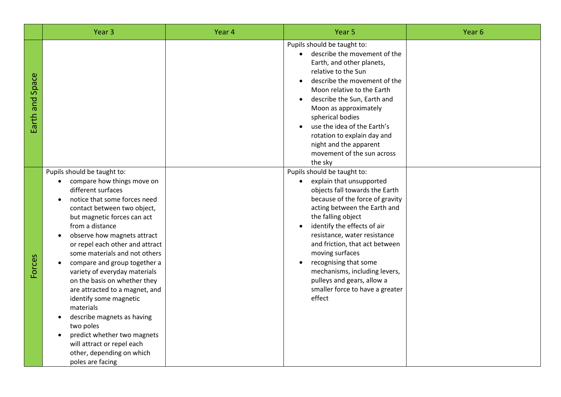|                 | Year <sub>3</sub>                                                                                                                                                                                                                                                                                                                                                                                                                                                                                                                                                                                                                      | Year 4 | Year <sub>5</sub>                                                                                                                                                                                                                                                                                                                                                                                                                                                     | Year <sub>6</sub> |
|-----------------|----------------------------------------------------------------------------------------------------------------------------------------------------------------------------------------------------------------------------------------------------------------------------------------------------------------------------------------------------------------------------------------------------------------------------------------------------------------------------------------------------------------------------------------------------------------------------------------------------------------------------------------|--------|-----------------------------------------------------------------------------------------------------------------------------------------------------------------------------------------------------------------------------------------------------------------------------------------------------------------------------------------------------------------------------------------------------------------------------------------------------------------------|-------------------|
| Earth and Space |                                                                                                                                                                                                                                                                                                                                                                                                                                                                                                                                                                                                                                        |        | Pupils should be taught to:<br>describe the movement of the<br>$\bullet$<br>Earth, and other planets,<br>relative to the Sun<br>describe the movement of the<br>Moon relative to the Earth<br>describe the Sun, Earth and<br>Moon as approximately<br>spherical bodies<br>use the idea of the Earth's<br>rotation to explain day and<br>night and the apparent<br>movement of the sun across<br>the sky                                                               |                   |
| Forces          | Pupils should be taught to:<br>compare how things move on<br>different surfaces<br>notice that some forces need<br>contact between two object,<br>but magnetic forces can act<br>from a distance<br>observe how magnets attract<br>or repel each other and attract<br>some materials and not others<br>compare and group together a<br>variety of everyday materials<br>on the basis on whether they<br>are attracted to a magnet, and<br>identify some magnetic<br>materials<br>describe magnets as having<br>two poles<br>predict whether two magnets<br>will attract or repel each<br>other, depending on which<br>poles are facing |        | Pupils should be taught to:<br>explain that unsupported<br>$\bullet$<br>objects fall towards the Earth<br>because of the force of gravity<br>acting between the Earth and<br>the falling object<br>identify the effects of air<br>resistance, water resistance<br>and friction, that act between<br>moving surfaces<br>recognising that some<br>$\bullet$<br>mechanisms, including levers,<br>pulleys and gears, allow a<br>smaller force to have a greater<br>effect |                   |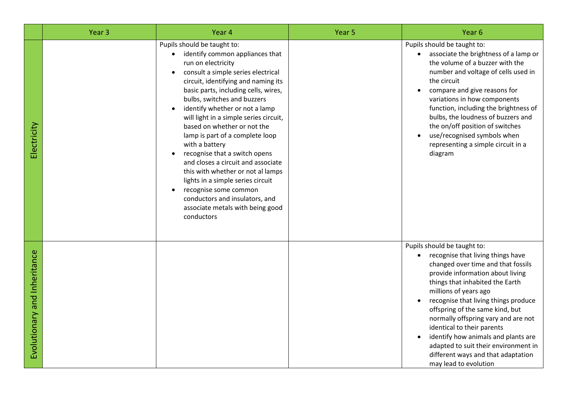|                              | Year <sub>3</sub> | Year 4                                                                                                                                                                                                                                                                                                                                                                                                                                                                                                                                                                                                                                                                              | Year 5 | Year <sub>6</sub>                                                                                                                                                                                                                                                                                                                                                                                                                                                                                                 |
|------------------------------|-------------------|-------------------------------------------------------------------------------------------------------------------------------------------------------------------------------------------------------------------------------------------------------------------------------------------------------------------------------------------------------------------------------------------------------------------------------------------------------------------------------------------------------------------------------------------------------------------------------------------------------------------------------------------------------------------------------------|--------|-------------------------------------------------------------------------------------------------------------------------------------------------------------------------------------------------------------------------------------------------------------------------------------------------------------------------------------------------------------------------------------------------------------------------------------------------------------------------------------------------------------------|
| Electricity                  |                   | Pupils should be taught to:<br>identify common appliances that<br>$\bullet$<br>run on electricity<br>consult a simple series electrical<br>circuit, identifying and naming its<br>basic parts, including cells, wires,<br>bulbs, switches and buzzers<br>identify whether or not a lamp<br>will light in a simple series circuit,<br>based on whether or not the<br>lamp is part of a complete loop<br>with a battery<br>recognise that a switch opens<br>and closes a circuit and associate<br>this with whether or not al lamps<br>lights in a simple series circuit<br>recognise some common<br>conductors and insulators, and<br>associate metals with being good<br>conductors |        | Pupils should be taught to:<br>associate the brightness of a lamp or<br>$\bullet$<br>the volume of a buzzer with the<br>number and voltage of cells used in<br>the circuit<br>compare and give reasons for<br>$\bullet$<br>variations in how components<br>function, including the brightness of<br>bulbs, the loudness of buzzers and<br>the on/off position of switches<br>use/recognised symbols when<br>representing a simple circuit in a<br>diagram                                                         |
| Evolutionary and Inheritance |                   |                                                                                                                                                                                                                                                                                                                                                                                                                                                                                                                                                                                                                                                                                     |        | Pupils should be taught to:<br>recognise that living things have<br>$\bullet$<br>changed over time and that fossils<br>provide information about living<br>things that inhabited the Earth<br>millions of years ago<br>recognise that living things produce<br>offspring of the same kind, but<br>normally offspring vary and are not<br>identical to their parents<br>identify how animals and plants are<br>adapted to suit their environment in<br>different ways and that adaptation<br>may lead to evolution |